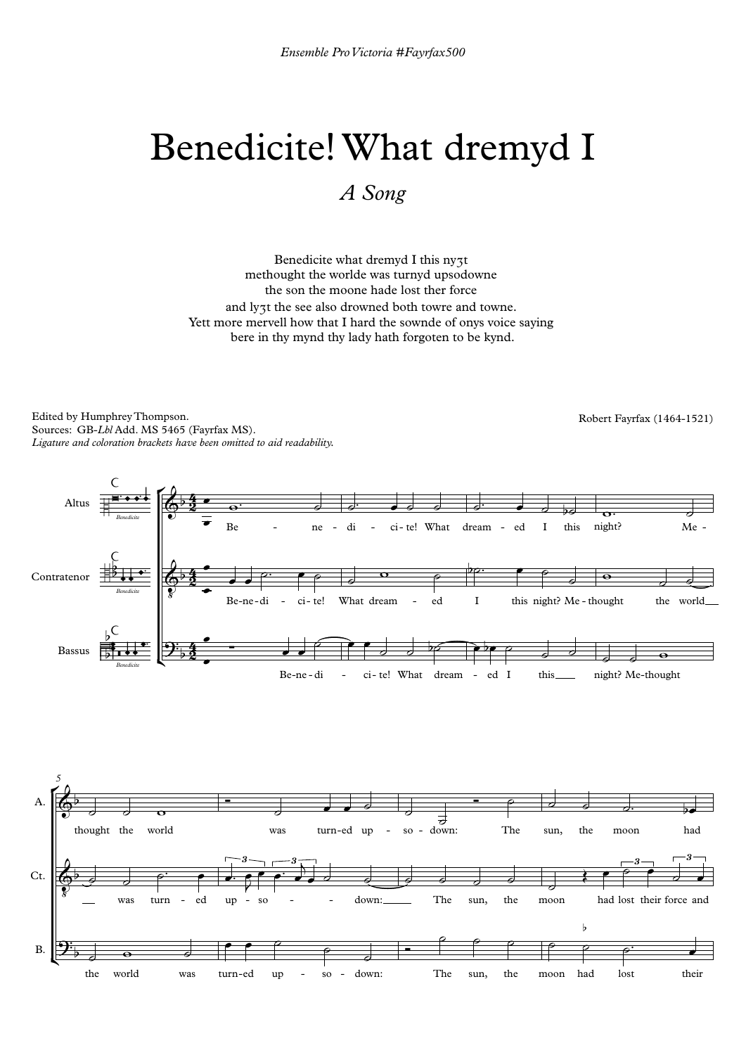Edited by Humphrey Thompson. Sources: GB-*Lbl* Add. MS 5465 (Fayrfax MS). *Ligature and coloration brackets have been omitted to aid readability.*

## Benedicite! What dremyd I

*A Song*

Benedicite what dremyd I this nyʒt methought the worlde was turnyd upsodowne the son the moone hade lost ther force and lyʒt the see also drowned both towre and towne. Yett more mervell how that I hard the sownde of onys voice saying bere in thy mynd thy lady hath forgoten to be kynd.

*5*

Robert Fayrfax (1464-1521)



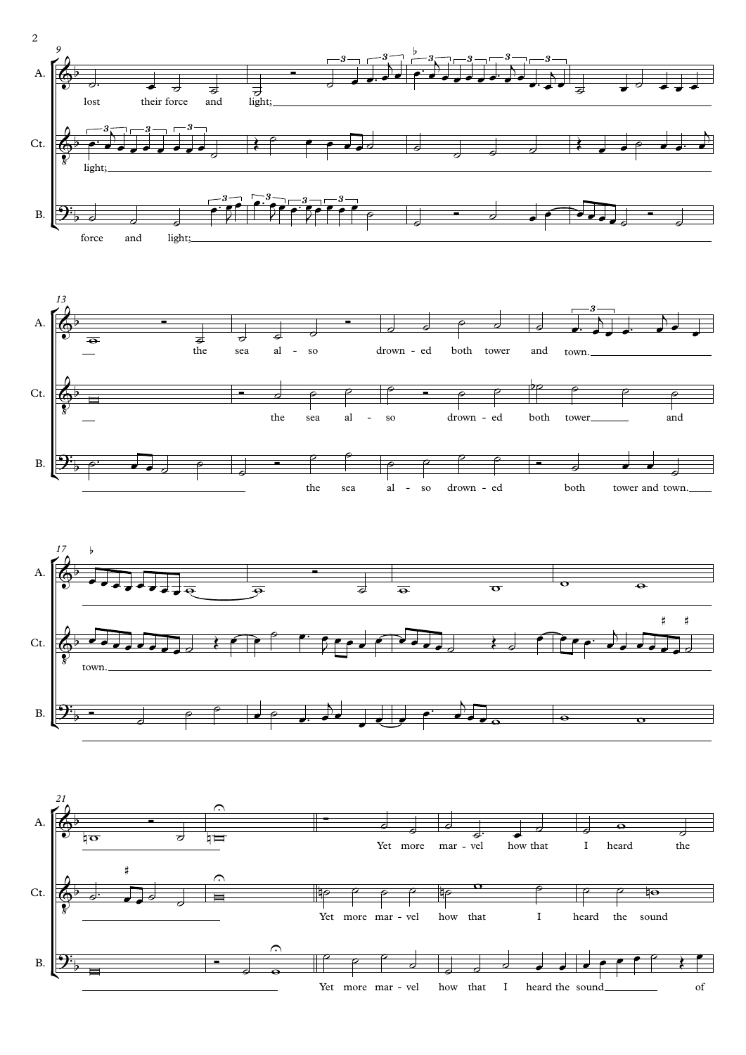